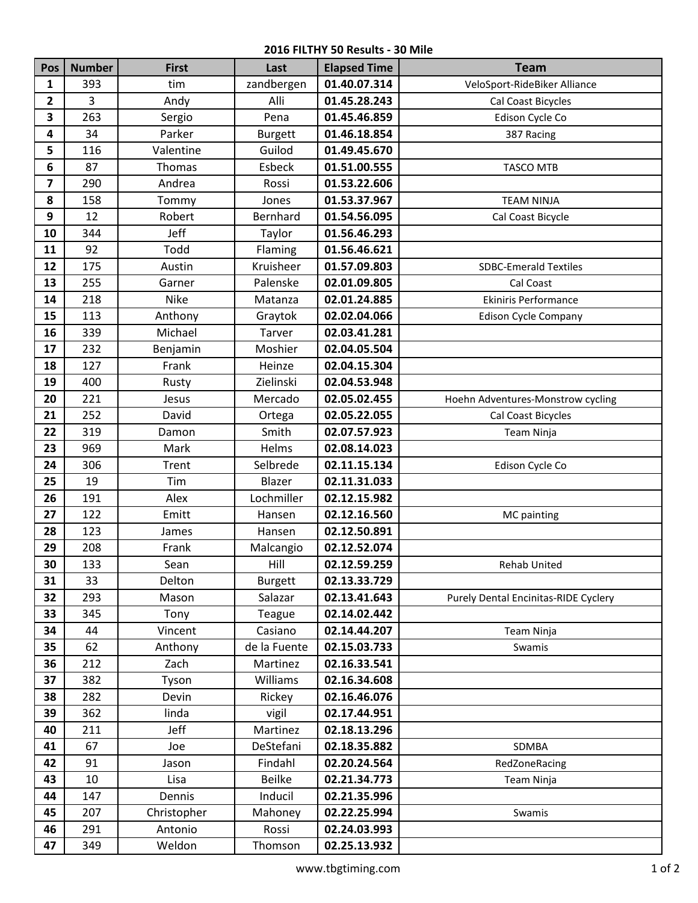## **2016 FILTHY 50 Results - 30 Mile**

| Pos            | <b>Number</b> | <b>First</b> | Last           | <b>Elapsed Time</b> | <b>Team</b>                          |
|----------------|---------------|--------------|----------------|---------------------|--------------------------------------|
| 1              | 393           | tim          | zandbergen     | 01.40.07.314        | VeloSport-RideBiker Alliance         |
| $\overline{2}$ | 3             | Andy         | Alli           | 01.45.28.243        | Cal Coast Bicycles                   |
| 3              | 263           | Sergio       | Pena           | 01.45.46.859        | Edison Cycle Co                      |
| 4              | 34            | Parker       | <b>Burgett</b> | 01.46.18.854        | 387 Racing                           |
| 5              | 116           | Valentine    | Guilod         | 01.49.45.670        |                                      |
| 6              | 87            | Thomas       | Esbeck         | 01.51.00.555        | TASCO MTB                            |
| $\overline{7}$ | 290           | Andrea       | Rossi          | 01.53.22.606        |                                      |
| 8              | 158           | Tommy        | Jones          | 01.53.37.967        | <b>TEAM NINJA</b>                    |
| 9              | 12            | Robert       | Bernhard       | 01.54.56.095        | Cal Coast Bicycle                    |
| 10             | 344           | Jeff         | Taylor         | 01.56.46.293        |                                      |
| 11             | 92            | Todd         | Flaming        | 01.56.46.621        |                                      |
| 12             | 175           | Austin       | Kruisheer      | 01.57.09.803        | <b>SDBC-Emerald Textiles</b>         |
| 13             | 255           | Garner       | Palenske       | 02.01.09.805        | Cal Coast                            |
| 14             | 218           | <b>Nike</b>  | Matanza        | 02.01.24.885        | <b>Ekiniris Performance</b>          |
| 15             | 113           | Anthony      | Graytok        | 02.02.04.066        | <b>Edison Cycle Company</b>          |
| 16             | 339           | Michael      | Tarver         | 02.03.41.281        |                                      |
| 17             | 232           | Benjamin     | Moshier        | 02.04.05.504        |                                      |
| 18             | 127           | Frank        | Heinze         | 02.04.15.304        |                                      |
| 19             | 400           | Rusty        | Zielinski      | 02.04.53.948        |                                      |
| 20             | 221           | Jesus        | Mercado        | 02.05.02.455        | Hoehn Adventures-Monstrow cycling    |
| 21             | 252           | David        | Ortega         | 02.05.22.055        | Cal Coast Bicycles                   |
| 22             | 319           | Damon        | Smith          | 02.07.57.923        | Team Ninja                           |
| 23             | 969           | Mark         | Helms          | 02.08.14.023        |                                      |
| 24             | 306           | Trent        | Selbrede       | 02.11.15.134        | Edison Cycle Co                      |
| 25             | 19            | Tim          | Blazer         | 02.11.31.033        |                                      |
| 26             | 191           | Alex         | Lochmiller     | 02.12.15.982        |                                      |
| 27             | 122           | Emitt        | Hansen         | 02.12.16.560        | MC painting                          |
| 28             | 123           | James        | Hansen         | 02.12.50.891        |                                      |
| 29             | 208           | Frank        | Malcangio      | 02.12.52.074        |                                      |
| 30             | 133           | Sean         | Hill           | 02.12.59.259        | Rehab United                         |
| 31             | 33            | Delton       | <b>Burgett</b> | 02.13.33.729        |                                      |
| 32             | 293           | Mason        | Salazar        | 02.13.41.643        | Purely Dental Encinitas-RIDE Cyclery |
| 33             | 345           | Tony         | Teague         | 02.14.02.442        |                                      |
| 34             | 44            | Vincent      | Casiano        | 02.14.44.207        | Team Ninja                           |
| 35             | 62            | Anthony      | de la Fuente   | 02.15.03.733        | Swamis                               |
| 36             | 212           | Zach         | Martinez       | 02.16.33.541        |                                      |
| 37             | 382           | Tyson        | Williams       | 02.16.34.608        |                                      |
| 38             | 282           | Devin        | Rickey         | 02.16.46.076        |                                      |
| 39             | 362           | linda        | vigil          | 02.17.44.951        |                                      |
| 40             | 211           | Jeff         | Martinez       | 02.18.13.296        |                                      |
| 41             | 67            | Joe          | DeStefani      | 02.18.35.882        | SDMBA                                |
| 42             | 91            | Jason        | Findahl        | 02.20.24.564        | RedZoneRacing                        |
| 43             | 10            | Lisa         | <b>Beilke</b>  | 02.21.34.773        | Team Ninja                           |
| 44             | 147           | Dennis       | Inducil        | 02.21.35.996        |                                      |
| 45             | 207           | Christopher  | Mahoney        | 02.22.25.994        | Swamis                               |
| 46             | 291           | Antonio      | Rossi          | 02.24.03.993        |                                      |
| 47             | 349           | Weldon       | Thomson        | 02.25.13.932        |                                      |